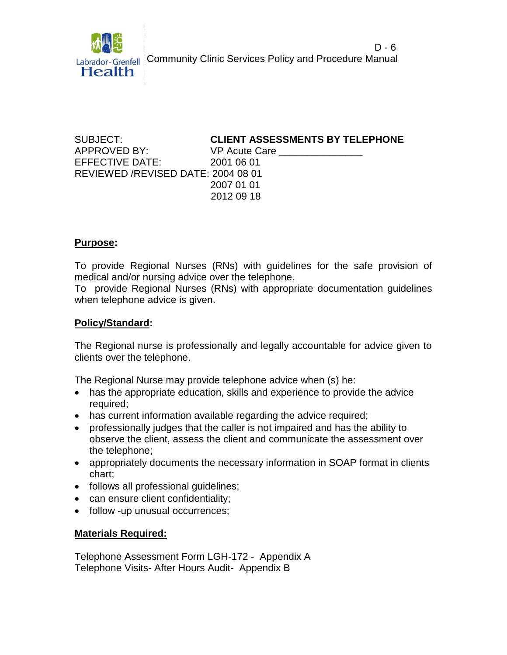

 $D - 6$ Labrador-Grenfell Community Clinic Services Policy and Procedure Manual

APPROVED BY: VP Acute Care \_\_\_\_\_\_\_\_\_\_\_\_\_\_\_ EFFECTIVE DATE: 2001 06 01 REVIEWED /REVISED DATE: 2004 08 01

### SUBJECT: **CLIENT ASSESSMENTS BY TELEPHONE**

 2007 01 01 2012 09 18

#### **Purpose:**

To provide Regional Nurses (RNs) with guidelines for the safe provision of medical and/or nursing advice over the telephone.

To provide Regional Nurses (RNs) with appropriate documentation guidelines when telephone advice is given.

### **Policy/Standard:**

The Regional nurse is professionally and legally accountable for advice given to clients over the telephone.

The Regional Nurse may provide telephone advice when (s) he:

- has the appropriate education, skills and experience to provide the advice required;
- has current information available regarding the advice required;
- professionally judges that the caller is not impaired and has the ability to observe the client, assess the client and communicate the assessment over the telephone;
- appropriately documents the necessary information in SOAP format in clients chart;
- follows all professional guidelines;
- can ensure client confidentiality;
- follow -up unusual occurrences;

#### **Materials Required:**

Telephone Assessment Form LGH-172 - Appendix A Telephone Visits- After Hours Audit- Appendix B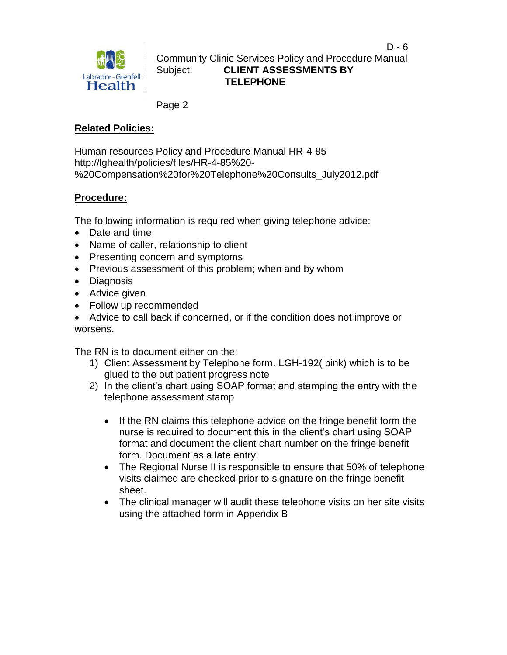

Community Clinic Services Policy and Procedure Manual Subject: **CLIENT ASSESSMENTS BY**  Labrador-Grenfell Dublect.<br> **TELEPHONE**<br>
TELEPHONE

Page 2

# **Related Policies:**

Human resources Policy and Procedure Manual HR-4-85 http://lghealth/policies/files/HR-4-85%20- %20Compensation%20for%20Telephone%20Consults\_July2012.pdf

# **Procedure:**

The following information is required when giving telephone advice:

- Date and time
- Name of caller, relationship to client
- Presenting concern and symptoms
- Previous assessment of this problem; when and by whom
- Diagnosis
- Advice given
- Follow up recommended

 Advice to call back if concerned, or if the condition does not improve or worsens.

The RN is to document either on the:

- 1) Client Assessment by Telephone form. LGH-192( pink) which is to be glued to the out patient progress note
- 2) In the client's chart using SOAP format and stamping the entry with the telephone assessment stamp
	- If the RN claims this telephone advice on the fringe benefit form the nurse is required to document this in the client's chart using SOAP format and document the client chart number on the fringe benefit form. Document as a late entry.
	- The Regional Nurse II is responsible to ensure that 50% of telephone visits claimed are checked prior to signature on the fringe benefit sheet.
	- The clinical manager will audit these telephone visits on her site visits using the attached form in Appendix B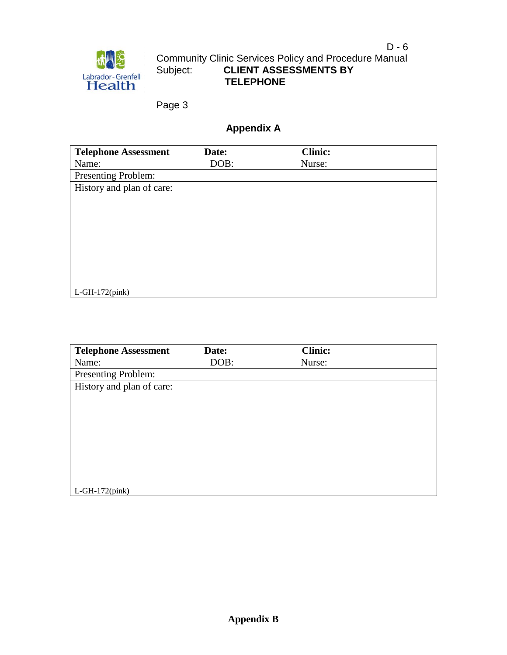Page 3

# **Appendix A**

| <b>Telephone Assessment</b> | Date: | <b>Clinic:</b> |  |
|-----------------------------|-------|----------------|--|
| Name:                       | DOB:  | Nurse:         |  |
| Presenting Problem:         |       |                |  |
| History and plan of care:   |       |                |  |
|                             |       |                |  |
|                             |       |                |  |
|                             |       |                |  |
|                             |       |                |  |
|                             |       |                |  |
|                             |       |                |  |
|                             |       |                |  |
|                             |       |                |  |
| $L$ -GH-172(pink)           |       |                |  |

| <b>Telephone Assessment</b> | Date: | <b>Clinic:</b> |  |
|-----------------------------|-------|----------------|--|
| Name:                       | DOB:  | Nurse:         |  |
| Presenting Problem:         |       |                |  |
| History and plan of care:   |       |                |  |
|                             |       |                |  |
|                             |       |                |  |
|                             |       |                |  |
|                             |       |                |  |
|                             |       |                |  |
|                             |       |                |  |
|                             |       |                |  |
|                             |       |                |  |
| $L$ -GH-172 $(pink)$        |       |                |  |